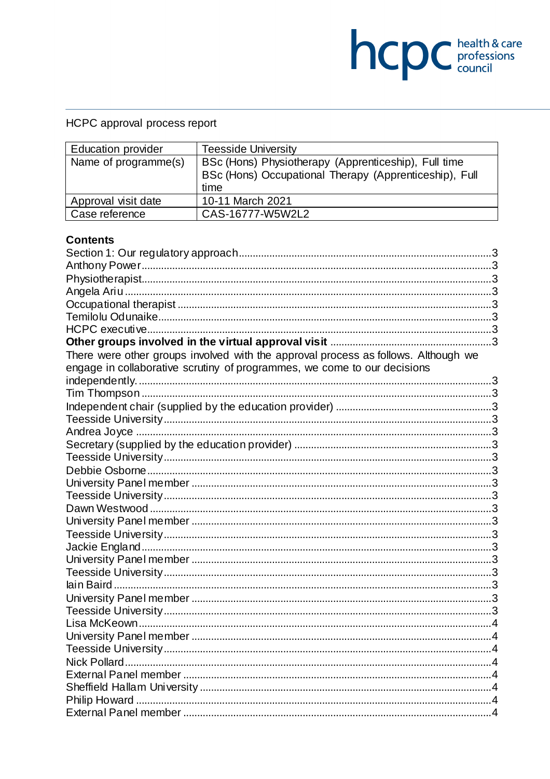# HCPC approval process report

| <b>Education provider</b> | <b>Teesside University</b>                                     |  |
|---------------------------|----------------------------------------------------------------|--|
| Name of programme(s)      | BSc (Hons) Physiotherapy (Apprenticeship), Full time           |  |
|                           | BSc (Hons) Occupational Therapy (Apprenticeship), Full<br>time |  |
|                           |                                                                |  |
| Approval visit date       | 10-11 March 2021                                               |  |
| Case reference            | CAS-16777-W5W2L2                                               |  |

**health & care** 

### **Contents**

| There were other groups involved with the approval process as follows. Although we |  |
|------------------------------------------------------------------------------------|--|
| engage in collaborative scrutiny of programmes, we come to our decisions           |  |
|                                                                                    |  |
|                                                                                    |  |
|                                                                                    |  |
|                                                                                    |  |
|                                                                                    |  |
|                                                                                    |  |
|                                                                                    |  |
|                                                                                    |  |
|                                                                                    |  |
|                                                                                    |  |
|                                                                                    |  |
|                                                                                    |  |
|                                                                                    |  |
|                                                                                    |  |
|                                                                                    |  |
|                                                                                    |  |
|                                                                                    |  |
|                                                                                    |  |
|                                                                                    |  |
|                                                                                    |  |
|                                                                                    |  |
|                                                                                    |  |
|                                                                                    |  |
|                                                                                    |  |
|                                                                                    |  |
|                                                                                    |  |
|                                                                                    |  |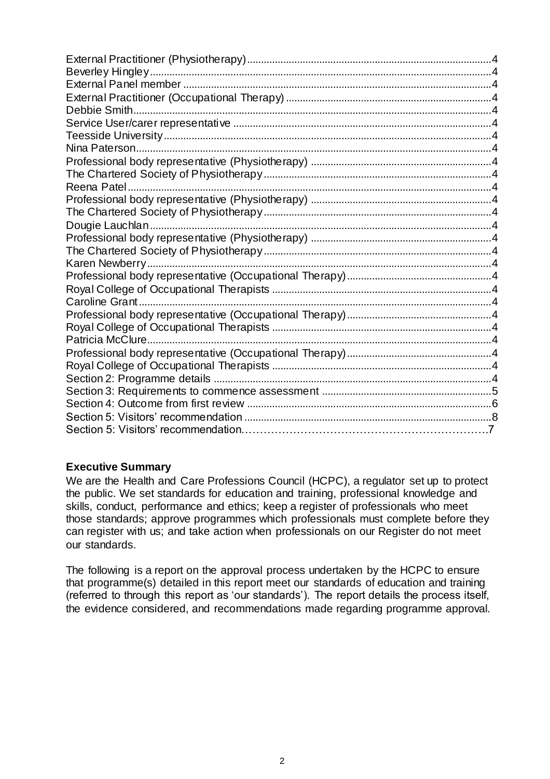### **Executive Summary**

We are the Health and Care Professions Council (HCPC), a regulator set up to protect the public. We set standards for education and training, professional knowledge and skills, conduct, performance and ethics; keep a register of professionals who meet those standards; approve programmes which professionals must complete before they can register with us; and take action when professionals on our Register do not meet our standards.

The following is a report on the approval process undertaken by the HCPC to ensure that programme(s) detailed in this report meet our standards of education and training (referred to through this report as 'our standards'). The report details the process itself, the evidence considered, and recommendations made regarding programme approval.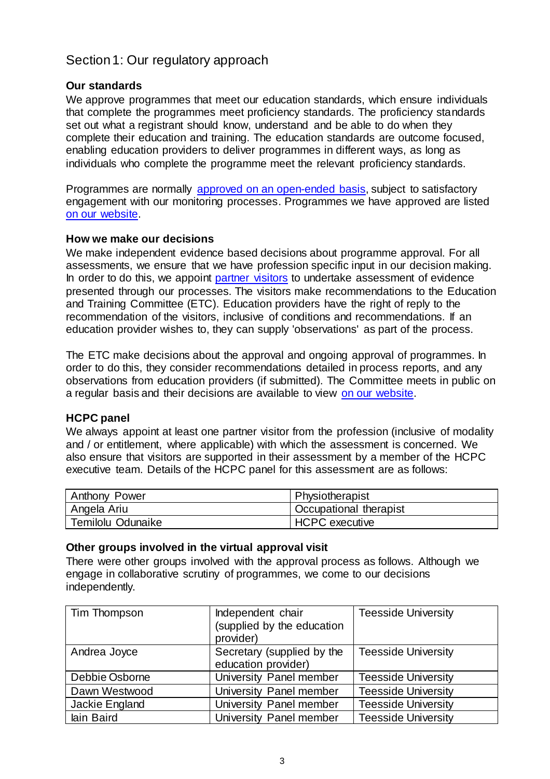## <span id="page-2-0"></span>Section 1: Our regulatory approach

### **Our standards**

We approve programmes that meet our education standards, which ensure individuals that complete the programmes meet proficiency standards. The proficiency standards set out what a registrant should know, understand and be able to do when they complete their education and training. The education standards are outcome focused, enabling education providers to deliver programmes in different ways, as long as individuals who complete the programme meet the relevant proficiency standards.

Programmes are normally [approved on an open-ended basis,](http://www.hcpc-uk.org/education/processes/) subject to satisfactory engagement with our monitoring processes. Programmes we have approved are listed [on our website.](http://www.hcpc-uk.org/education/programmes/register/)

### **How we make our decisions**

We make independent evidence based decisions about programme approval. For all assessments, we ensure that we have profession specific input in our decision making. In order to do this, we appoint [partner visitors](http://www.hcpc-uk.org/aboutus/partners/) to undertake assessment of evidence presented through our processes. The visitors make recommendations to the Education and Training Committee (ETC). Education providers have the right of reply to the recommendation of the visitors, inclusive of conditions and recommendations. If an education provider wishes to, they can supply 'observations' as part of the process.

The ETC make decisions about the approval and ongoing approval of programmes. In order to do this, they consider recommendations detailed in process reports, and any observations from education providers (if submitted). The Committee meets in public on a regular basis and their decisions are available to view [on our website.](http://www.hcpc-uk.org/aboutus/committees/educationandtrainingpanel/)

### **HCPC panel**

We always appoint at least one partner visitor from the profession (inclusive of modality and / or entitlement, where applicable) with which the assessment is concerned. We also ensure that visitors are supported in their assessment by a member of the HCPC executive team. Details of the HCPC panel for this assessment are as follows:

<span id="page-2-4"></span><span id="page-2-3"></span><span id="page-2-2"></span><span id="page-2-1"></span>

| <b>Anthony Power</b> | Physiotherapist               |
|----------------------|-------------------------------|
| Angela Ariu          | <b>Occupational therapist</b> |
| Temilolu Odunaike    | <b>HCPC</b> executive         |

#### <span id="page-2-7"></span><span id="page-2-6"></span><span id="page-2-5"></span>**Other groups involved in the virtual approval visit**

<span id="page-2-8"></span>There were other groups involved with the approval process as follows. Although we engage in collaborative scrutiny of programmes, we come to our decisions independently.

<span id="page-2-26"></span><span id="page-2-25"></span><span id="page-2-24"></span><span id="page-2-23"></span><span id="page-2-22"></span><span id="page-2-21"></span><span id="page-2-20"></span><span id="page-2-19"></span><span id="page-2-18"></span><span id="page-2-17"></span><span id="page-2-16"></span><span id="page-2-15"></span><span id="page-2-14"></span><span id="page-2-13"></span><span id="page-2-12"></span><span id="page-2-11"></span><span id="page-2-10"></span><span id="page-2-9"></span>

| Tim Thompson   | Independent chair<br>(supplied by the education<br>provider) | <b>Teesside University</b> |
|----------------|--------------------------------------------------------------|----------------------------|
| Andrea Joyce   | Secretary (supplied by the<br>education provider)            | <b>Teesside University</b> |
| Debbie Osborne | University Panel member                                      | <b>Teesside University</b> |
| Dawn Westwood  | University Panel member                                      | <b>Teesside University</b> |
| Jackie England | University Panel member                                      | <b>Teesside University</b> |
| lain Baird     | University Panel member                                      | <b>Teesside University</b> |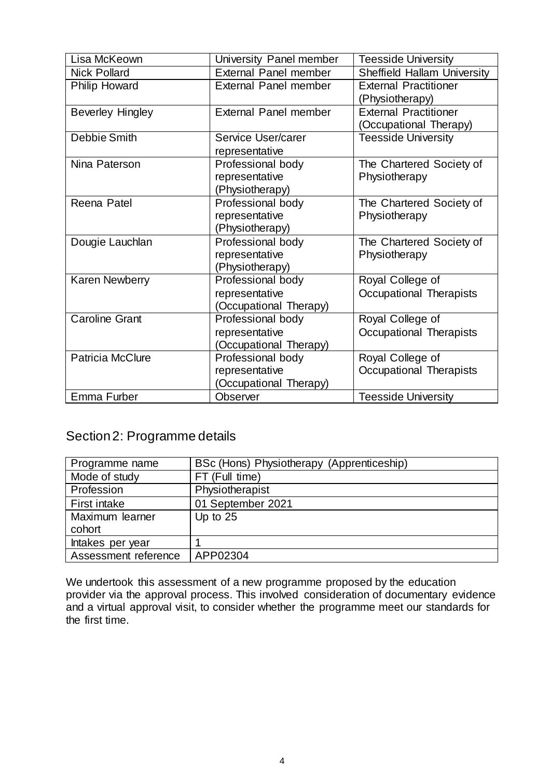<span id="page-3-23"></span><span id="page-3-22"></span><span id="page-3-21"></span><span id="page-3-20"></span><span id="page-3-19"></span><span id="page-3-18"></span><span id="page-3-17"></span><span id="page-3-16"></span><span id="page-3-15"></span><span id="page-3-14"></span><span id="page-3-13"></span><span id="page-3-12"></span><span id="page-3-11"></span><span id="page-3-10"></span><span id="page-3-9"></span><span id="page-3-8"></span><span id="page-3-7"></span><span id="page-3-6"></span><span id="page-3-5"></span><span id="page-3-4"></span><span id="page-3-3"></span><span id="page-3-2"></span><span id="page-3-1"></span><span id="page-3-0"></span>

| Lisa McKeown            | University Panel member      | <b>Teesside University</b>         |
|-------------------------|------------------------------|------------------------------------|
| <b>Nick Pollard</b>     | <b>External Panel member</b> | <b>Sheffield Hallam University</b> |
| <b>Philip Howard</b>    | <b>External Panel member</b> | <b>External Practitioner</b>       |
|                         |                              | (Physiotherapy)                    |
| <b>Beverley Hingley</b> | <b>External Panel member</b> | <b>External Practitioner</b>       |
|                         |                              | (Occupational Therapy)             |
| Debbie Smith            | Service User/carer           | <b>Teesside University</b>         |
|                         | representative               |                                    |
| Nina Paterson           | Professional body            | The Chartered Society of           |
|                         | representative               | Physiotherapy                      |
|                         | (Physiotherapy)              |                                    |
| Reena Patel             | Professional body            | The Chartered Society of           |
|                         | representative               | Physiotherapy                      |
|                         | (Physiotherapy)              |                                    |
| Dougie Lauchlan         | Professional body            | The Chartered Society of           |
|                         | representative               | Physiotherapy                      |
|                         | (Physiotherapy)              |                                    |
| <b>Karen Newberry</b>   | Professional body            | Royal College of                   |
|                         | representative               | Occupational Therapists            |
|                         | (Occupational Therapy)       |                                    |
| Caroline Grant          | Professional body            | Royal College of                   |
|                         | representative               | Occupational Therapists            |
|                         | (Occupational Therapy)       |                                    |
| <b>Patricia McClure</b> | Professional body            | Royal College of                   |
|                         | representative               | Occupational Therapists            |
|                         | (Occupational Therapy)       |                                    |
| Emma Furber             | <b>Observer</b>              | <b>Teesside University</b>         |

# <span id="page-3-33"></span><span id="page-3-32"></span><span id="page-3-31"></span><span id="page-3-30"></span><span id="page-3-29"></span><span id="page-3-28"></span><span id="page-3-27"></span><span id="page-3-26"></span><span id="page-3-25"></span><span id="page-3-24"></span>Section 2: Programme details

| Programme name       | BSc (Hons) Physiotherapy (Apprenticeship) |
|----------------------|-------------------------------------------|
| Mode of study        | FT (Full time)                            |
| Profession           | Physiotherapist                           |
| First intake         | 01 September 2021                         |
| Maximum learner      | Up to $25$                                |
| cohort               |                                           |
| Intakes per year     |                                           |
| Assessment reference | APP02304                                  |

We undertook this assessment of a new programme proposed by the education provider via the approval process. This involved consideration of documentary evidence and a virtual approval visit, to consider whether the programme meet our standards for the first time.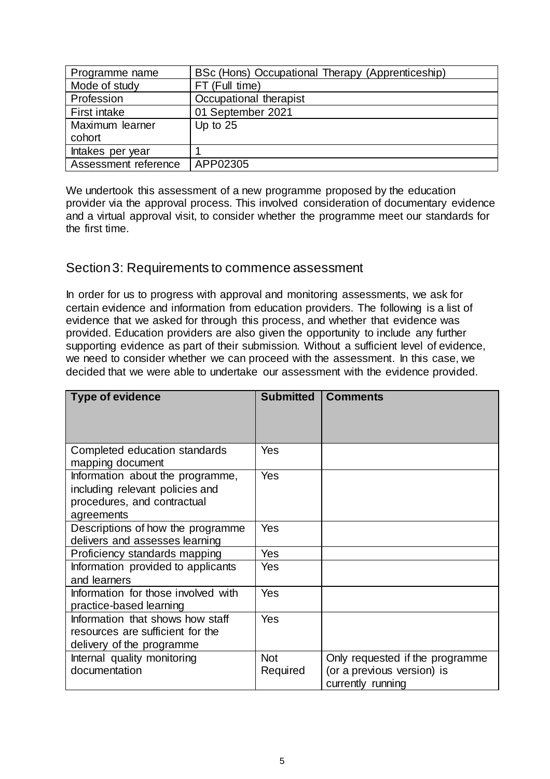| Programme name       | BSc (Hons) Occupational Therapy (Apprenticeship) |
|----------------------|--------------------------------------------------|
| Mode of study        | FT (Full time)                                   |
| Profession           | Occupational therapist                           |
| First intake         | 01 September 2021                                |
| Maximum learner      | Up to $25$                                       |
| cohort               |                                                  |
| Intakes per year     |                                                  |
| Assessment reference | APP02305                                         |

We undertook this assessment of a new programme proposed by the education provider via the approval process. This involved consideration of documentary evidence and a virtual approval visit, to consider whether the programme meet our standards for the first time.

## <span id="page-4-0"></span>Section 3: Requirements to commence assessment

In order for us to progress with approval and monitoring assessments, we ask for certain evidence and information from education providers. The following is a list of evidence that we asked for through this process, and whether that evidence was provided. Education providers are also given the opportunity to include any further supporting evidence as part of their submission. Without a sufficient level of evidence, we need to consider whether we can proceed with the assessment. In this case, we decided that we were able to undertake our assessment with the evidence provided.

| <b>Type of evidence</b>                                                                                          | <b>Submitted</b>       | <b>Comments</b>                                                                    |
|------------------------------------------------------------------------------------------------------------------|------------------------|------------------------------------------------------------------------------------|
| Completed education standards<br>mapping document                                                                | Yes                    |                                                                                    |
| Information about the programme,<br>including relevant policies and<br>procedures, and contractual<br>agreements | <b>Yes</b>             |                                                                                    |
| Descriptions of how the programme<br>delivers and assesses learning                                              | Yes                    |                                                                                    |
| Proficiency standards mapping                                                                                    | Yes                    |                                                                                    |
| Information provided to applicants<br>and learners                                                               | Yes                    |                                                                                    |
| Information for those involved with<br>practice-based learning                                                   | Yes                    |                                                                                    |
| Information that shows how staff<br>resources are sufficient for the<br>delivery of the programme                | Yes                    |                                                                                    |
| Internal quality monitoring<br>documentation                                                                     | <b>Not</b><br>Required | Only requested if the programme<br>(or a previous version) is<br>currently running |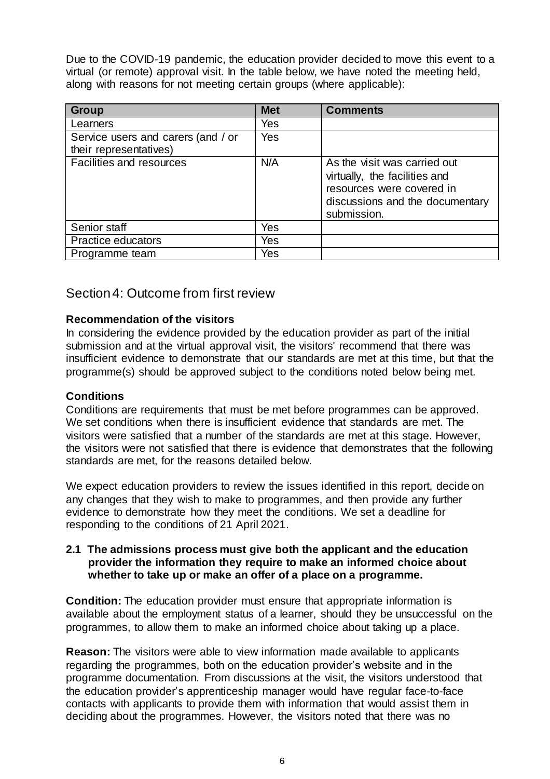Due to the COVID-19 pandemic, the education provider decided to move this event to a virtual (or remote) approval visit. In the table below, we have noted the meeting held, along with reasons for not meeting certain groups (where applicable):

| <b>Group</b>                                                 | <b>Met</b> | <b>Comments</b>                                                                                                                              |
|--------------------------------------------------------------|------------|----------------------------------------------------------------------------------------------------------------------------------------------|
| Learners                                                     | Yes        |                                                                                                                                              |
| Service users and carers (and / or<br>their representatives) | Yes        |                                                                                                                                              |
| Facilities and resources                                     | N/A        | As the visit was carried out<br>virtually, the facilities and<br>resources were covered in<br>discussions and the documentary<br>submission. |
| Senior staff                                                 | Yes        |                                                                                                                                              |
| <b>Practice educators</b>                                    | Yes        |                                                                                                                                              |
| Programme team                                               | Yes        |                                                                                                                                              |

### <span id="page-5-0"></span>Section 4: Outcome from first review

### **Recommendation of the visitors**

In considering the evidence provided by the education provider as part of the initial submission and at the virtual approval visit, the visitors' recommend that there was insufficient evidence to demonstrate that our standards are met at this time, but that the programme(s) should be approved subject to the conditions noted below being met.

### **Conditions**

Conditions are requirements that must be met before programmes can be approved. We set conditions when there is insufficient evidence that standards are met. The visitors were satisfied that a number of the standards are met at this stage. However, the visitors were not satisfied that there is evidence that demonstrates that the following standards are met, for the reasons detailed below.

We expect education providers to review the issues identified in this report, decide on any changes that they wish to make to programmes, and then provide any further evidence to demonstrate how they meet the conditions. We set a deadline for responding to the conditions of 21 April 2021.

#### **2.1 The admissions process must give both the applicant and the education provider the information they require to make an informed choice about whether to take up or make an offer of a place on a programme.**

**Condition:** The education provider must ensure that appropriate information is available about the employment status of a learner, should they be unsuccessful on the programmes, to allow them to make an informed choice about taking up a place.

**Reason:** The visitors were able to view information made available to applicants regarding the programmes, both on the education provider's website and in the programme documentation. From discussions at the visit, the visitors understood that the education provider's apprenticeship manager would have regular face-to-face contacts with applicants to provide them with information that would assist them in deciding about the programmes. However, the visitors noted that there was no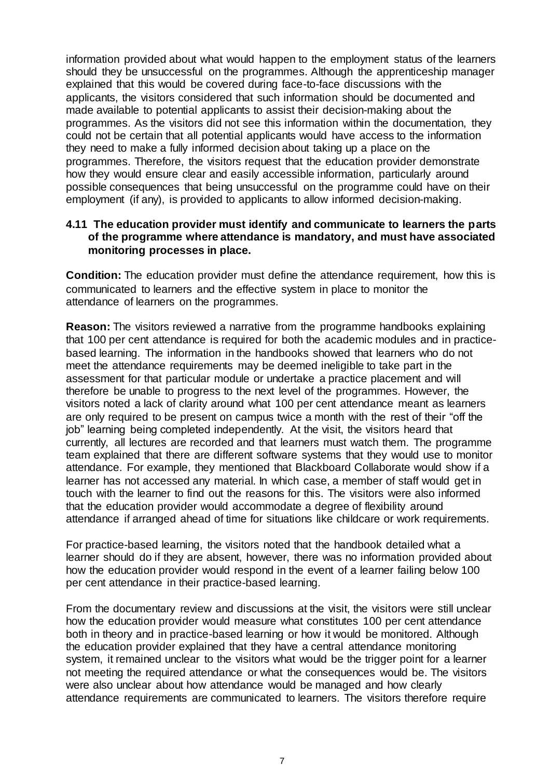information provided about what would happen to the employment status of the learners should they be unsuccessful on the programmes. Although the apprenticeship manager explained that this would be covered during face-to-face discussions with the applicants, the visitors considered that such information should be documented and made available to potential applicants to assist their decision-making about the programmes. As the visitors did not see this information within the documentation, they could not be certain that all potential applicants would have access to the information they need to make a fully informed decision about taking up a place on the programmes. Therefore, the visitors request that the education provider demonstrate how they would ensure clear and easily accessible information, particularly around possible consequences that being unsuccessful on the programme could have on their employment (if any), is provided to applicants to allow informed decision-making.

### **4.11 The education provider must identify and communicate to learners the parts of the programme where attendance is mandatory, and must have associated monitoring processes in place.**

**Condition:** The education provider must define the attendance requirement, how this is communicated to learners and the effective system in place to monitor the attendance of learners on the programmes.

**Reason:** The visitors reviewed a narrative from the programme handbooks explaining that 100 per cent attendance is required for both the academic modules and in practicebased learning. The information in the handbooks showed that learners who do not meet the attendance requirements may be deemed ineligible to take part in the assessment for that particular module or undertake a practice placement and will therefore be unable to progress to the next level of the programmes. However, the visitors noted a lack of clarity around what 100 per cent attendance meant as learners are only required to be present on campus twice a month with the rest of their "off the job" learning being completed independently. At the visit, the visitors heard that currently, all lectures are recorded and that learners must watch them. The programme team explained that there are different software systems that they would use to monitor attendance. For example, they mentioned that Blackboard Collaborate would show if a learner has not accessed any material. In which case, a member of staff would get in touch with the learner to find out the reasons for this. The visitors were also informed that the education provider would accommodate a degree of flexibility around attendance if arranged ahead of time for situations like childcare or work requirements.

For practice-based learning, the visitors noted that the handbook detailed what a learner should do if they are absent, however, there was no information provided about how the education provider would respond in the event of a learner failing below 100 per cent attendance in their practice-based learning.

From the documentary review and discussions at the visit, the visitors were still unclear how the education provider would measure what constitutes 100 per cent attendance both in theory and in practice-based learning or how it would be monitored. Although the education provider explained that they have a central attendance monitoring system, it remained unclear to the visitors what would be the trigger point for a learner not meeting the required attendance or what the consequences would be. The visitors were also unclear about how attendance would be managed and how clearly attendance requirements are communicated to learners. The visitors therefore require